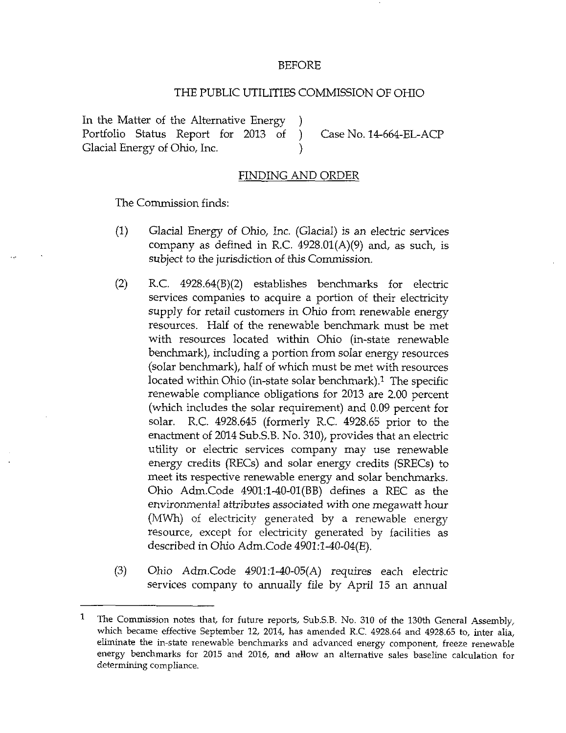## BEFORE

## THE PUBLIC UTILITIES COMMISSION OF OHIO

In the Matter of the Alternative Energy Portfolio Status Report for 2013 of ) Case No. 14-664-EL-ACP<br>Glacial Energy of Ohio, Inc. (a) λ

## FINDING AND ORDER

The Commission finds:

- (1) Glacial Energy of Ohio, Inc. (Glacial) is an electric services company as defined in R.C.  $4928.01(A)(9)$  and, as such, is subject to the jurisdiction of this Commission.
- $(2)$  R.C. 4928.64 $(B)(2)$  establishes benchmarks for electric services companies to acquire a portion of their electricity supply for retail customers in Ohio from renewable energy resources. Half of the renewable benchmark must be met with resources located within Ohio (in-state renewable benchmark), including a portion from solar energy resources (solar benchmark), half of which must be met with resources located within Ohio (in-state solar benchmark).<sup>1</sup> The specific renewable compliance obligations for 2013 are 2.00 percent (which includes the solar requirement) and 0.09 percent for solar. R.C 4928.645 (formeriy R.C. 4928.65 prior to the enactment of 2014 Sub.S.B. No. 310), provides that an electric utility or electric services company may use renewable energy credits (RECs) and solar energy credits (SRECs) to meet its respective renewable energy and solar benchmarks. Ohio Adm.Code 4901:l-40-01(BB) defines a REC as the environmental attributes associated with one megawatt hour (MWh) of electricity generated by a renewable energy resource, except for electricity generated by facilities as described in Ohio Adm.Code 4901:1-40-04(E).
- (3) Ohio Adm.Code 4901:l-40-05(A) requires each electric services company to annually file by April 15 an annual

 $\mathbf{1}$ The Commission notes that, for future reports, Sub.S.B. No. 310 of the 130th General Assembly, which became effective September 12, 2014, has amended R.C. 4928.64 and 4928.65 to, inter alia, eliminate the in-state renewable benchmarks and advanced energy component, freeze renewable energy benchmarks for 2015 and 2016, and allow an alternative sales baseline calculation for determining compliance.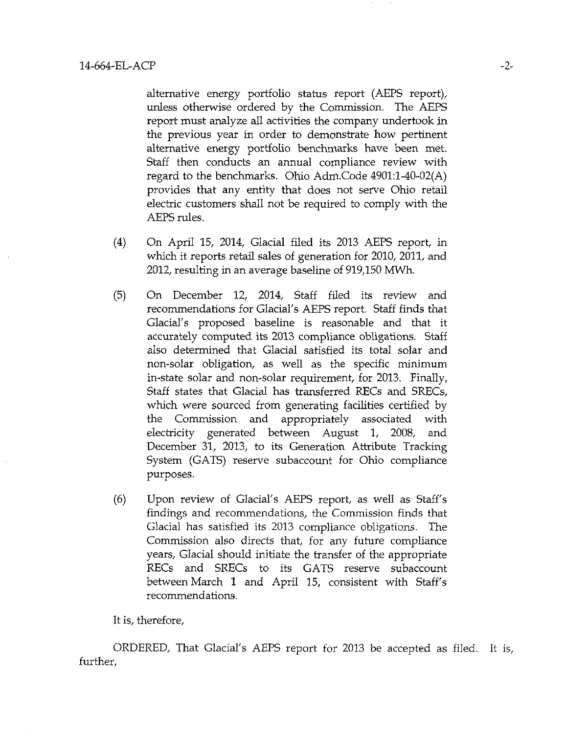alternative energy portfolio status report (AEPS report), unless otherwise ordered by the Commission. The AEPS report must analyze all activities the company undertook in the previous year in order to demonstrate how pertinent alternative energy portfolio benchmarks have been met. Staff then conducts an armual compliance review with regard to the benchmarks. Ohio Adm.Code 4901:l-40-02(A) provides that any entity that does not serve Ohio retail electric customers shall not be required to comply with the AEPS rules.

- (4) On April 15, 2014, Glacial filed its 2013 AEPS report, in which it reports retail sales of generation for 2010, 2011, and 2012, resulting in an average baseline of 919,150 MWh.
- (5) On December 12, 2014, Staff filed its review and recommendations for Glacial's AEPS report. Staff finds that Glacial's proposed baseline is reasonable and that it accurately computed its 2013 compliance obligations. Staff also determined that Glacial satisfied its total solar and non-solar obligation, as well as the specific minimum in-state solar and non-solar requirement, for 2013. Finally, Staff states that Glacial has transferred RECs and SRECs, which were sourced from generating facilities certified by the Commission and appropriately associated with electricity generated between August 1, 2008, and December 31, 2013, to its Generation Attribute Tracking System (GATS) reserve subaccount for Ohio compliance purposes.
- (6) Upon review of Glacial's AEPS report, as well as Staff's findings and recommendations, the Commission finds that Glacial has satisfied its 2013 compliance obligations. The Commission also directs that, for any future compliance years. Glacial should initiate the transfer of the appropriate RECs and SRECs to its GATS reserve subaccount between March 1 and April 15, consistent with Staff's recommendations.

It is, therefore,

ORDERED, That Glacial's AEPS report for 2013 be accepted as filed. It is, further,